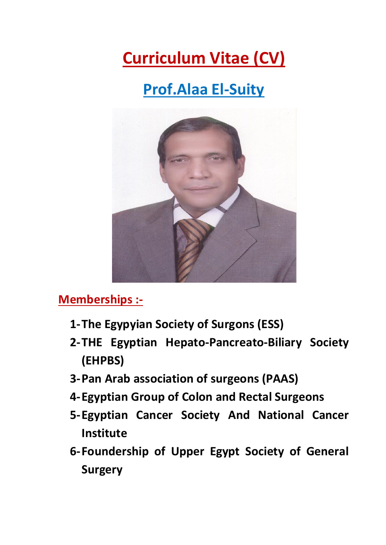# **Curriculum Vitae (CV)**

## **Prof.Alaa El-Suity**



#### **Memberships :-**

- **1-The Egypyian Society of Surgons (ESS)**
- **2-THE Egyptian Hepato-Pancreato-Biliary Society (EHPBS)**
- **3-Pan Arab association of surgeons (PAAS)**
- **4-Egyptian Group of Colon and Rectal Surgeons**
- **5-Egyptian Cancer Society And National Cancer Institute**
- **6-Foundership of Upper Egypt Society of General Surgery**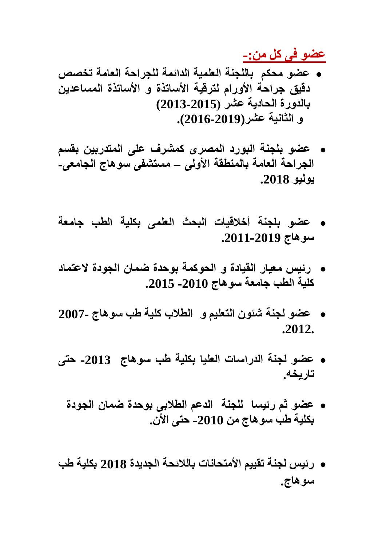**عضو فى كل من-:**

- **عضو محكم باللجنة العلمية الدائمة للجراحة العامة تخصص دقيق جراحة األورام لترقية األساتذة و األساتذة المساعدين بالدورة الحادية عشر )2013-2015) و الثانية عشر(2016-2019).**
- **عضو بلجنة البورد المصرى كمشرف على المتدربين بقسم الجراحة العامة بالمنطقة األولى – مستشفى سوهاج الجامعى- يوليو .2018**
- **عضو بلجنة أخالقيات البحث العلمى بكلية الطب جامعة سوهاج .2011-2019**
- **رئيس معيار القيادة و الحوكمة بوحدة ضمان الجودة العتماد كلية الطب جامعة سوهاج -2010 .2015**
- **عضو لجنة شئون التعليم و الطالب كلية طب سوهاج 2007- .2012.**
- **عضو لجنة الدراسات العليا بكلية طب سوهاج -2013 حتى تاريخه.**
	- **عضو ثم رئيسا للجنة الدعم الطالبى بوحدة ضمان الجودة بكلية طب سوهاج من -2010 حتى األن.**
- **رئيس لجنة تقييم األمتحانات بالالئحة الجديدة 2018 بكلية طب سوهاج.**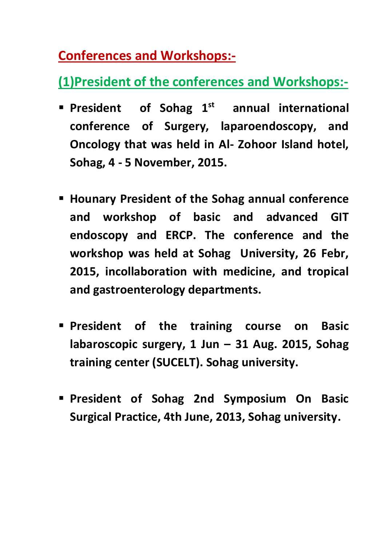### **Conferences and Workshops:-**

### **(1)President of the conferences and Workshops:-**

- **President of Sohag 1st annual international conference of Surgery, laparoendoscopy, and Oncology that was held in Al- Zohoor Island hotel, Sohag, 4 - 5 November, 2015.**
- **Hounary President of the Sohag annual conference and workshop of basic and advanced GIT endoscopy and ERCP. The conference and the workshop was held at Sohag University, 26 Febr, 2015, incollaboration with medicine, and tropical and gastroenterology departments.**
- **President of the training course on Basic labaroscopic surgery, 1 Jun – 31 Aug. 2015, Sohag training center (SUCELT). Sohag university.**
- **President of Sohag 2nd Symposium On Basic Surgical Practice, 4th June, 2013, Sohag university.**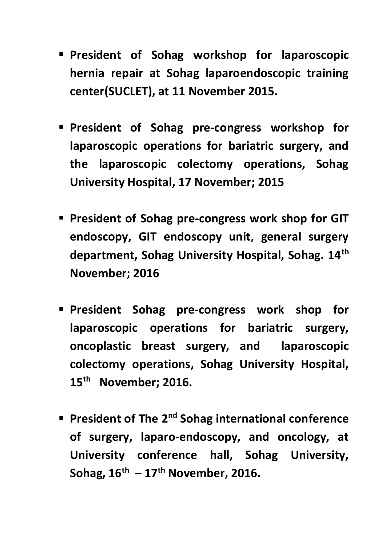- **President of Sohag workshop for laparoscopic hernia repair at Sohag laparoendoscopic training center(SUCLET), at 11 November 2015.**
- **President of Sohag pre-congress workshop for laparoscopic operations for bariatric surgery, and the laparoscopic colectomy operations, Sohag University Hospital, 17 November; 2015**
- **President of Sohag pre-congress work shop for GIT endoscopy, GIT endoscopy unit, general surgery department, Sohag University Hospital, Sohag. 14th November; 2016**
- **President Sohag pre-congress work shop for laparoscopic operations for bariatric surgery, oncoplastic breast surgery, and laparoscopic colectomy operations, Sohag University Hospital, 15th November; 2016.**
- **President of The 2nd Sohag international conference of surgery, laparo-endoscopy, and oncology, at University conference hall, Sohag University, Sohag, 16th – 17th November, 2016.**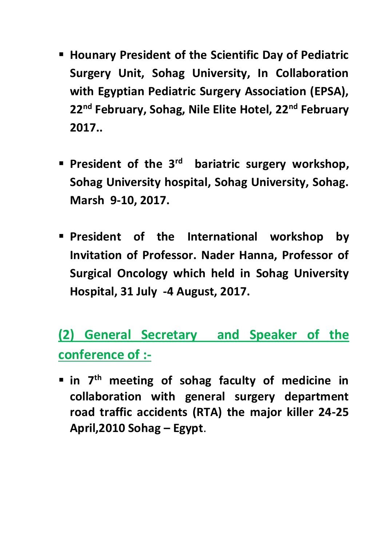- **Hounary President of the Scientific Day of Pediatric Surgery Unit, Sohag University, In Collaboration with Egyptian Pediatric Surgery Association (EPSA), 22nd February, Sohag, Nile Elite Hotel, 22nd February 2017..**
- **President of the 3rd bariatric surgery workshop, Sohag University hospital, Sohag University, Sohag. Marsh 9-10, 2017.**
- **President of the International workshop by Invitation of Professor. Nader Hanna, Professor of Surgical Oncology which held in Sohag University Hospital, 31 July -4 August, 2017.**

**(2) General Secretary and Speaker of the conference of :-**

 **in 7th meeting of sohag faculty of medicine in collaboration with general surgery department road traffic accidents (RTA) the major killer 24-25 April,2010 Sohag – Egypt**.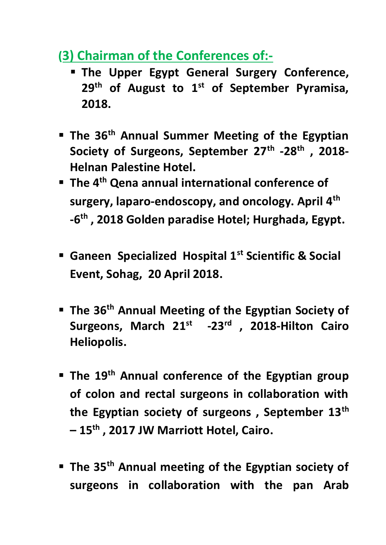#### **(3) Chairman of the Conferences of:-**

- **The Upper Egypt General Surgery Conference, 29th of August to 1st of September Pyramisa, 2018.**
- **The 36th Annual Summer Meeting of the Egyptian Society of Surgeons, September 27th -28th , 2018- Helnan Palestine Hotel.**
- **The 4th Qena annual international conference of surgery, laparo-endoscopy, and oncology. April 4th -6 th , 2018 Golden paradise Hotel; Hurghada, Egypt.**
- **Ganeen Specialized Hospital 1st Scientific & Social Event, Sohag, 20 April 2018.**
- **The 36th Annual Meeting of the Egyptian Society of Surgeons, March 21 st -23rd , 2018-Hilton Cairo Heliopolis.**
- **The 19th Annual conference of the Egyptian group of colon and rectal surgeons in collaboration with the Egyptian society of surgeons , September 13th – 15th , 2017 JW Marriott Hotel, Cairo.**
- **The 35th Annual meeting of the Egyptian society of surgeons in collaboration with the pan Arab**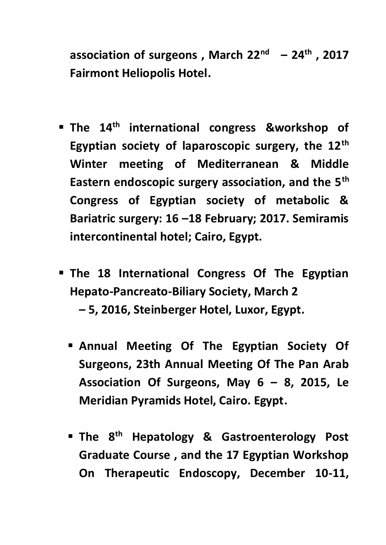**association of surgeons , March 22nd – 24th , 2017 Fairmont Heliopolis Hotel.**

- **The 14th international congress &workshop of Egyptian society of laparoscopic surgery, the 12th Winter meeting of Mediterranean & Middle Eastern endoscopic surgery association, and the 5th Congress of Egyptian society of metabolic & Bariatric surgery: 16 –18 February; 2017. Semiramis intercontinental hotel; Cairo, Egypt.**
- **The 18 International Congress Of The Egyptian Hepato-Pancreato-Biliary Society, March 2 – 5, 2016, Steinberger Hotel, Luxor, Egypt.**
	- **Annual Meeting Of The Egyptian Society Of Surgeons, 23th Annual Meeting Of The Pan Arab Association Of Surgeons, May 6 – 8, 2015, Le Meridian Pyramids Hotel, Cairo. Egypt.**
	- **The 8th Hepatology & Gastroenterology Post Graduate Course , and the 17 Egyptian Workshop On Therapeutic Endoscopy, December 10-11,**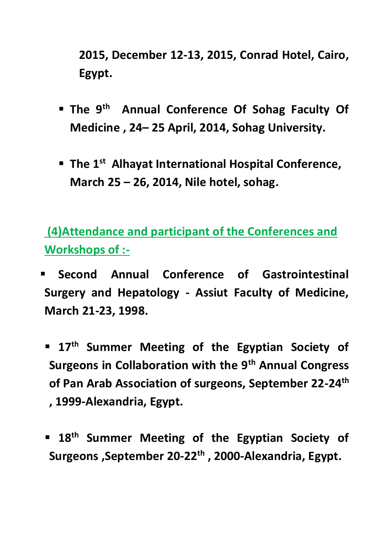**2015, December 12-13, 2015, Conrad Hotel, Cairo, Egypt.**

- **The 9<sup>th</sup> Annual Conference Of Sohag Faculty Of Medicine , 24– 25 April, 2014, Sohag University.**
- **The 1st Alhayat International Hospital Conference, March 25 – 26, 2014, Nile hotel, sohag.**

**(4)Attendance and participant of the Conferences and Workshops of :-**

- **Second Annual Conference of Gastrointestinal Surgery and Hepatology - Assiut Faculty of Medicine, March 21-23, 1998.**
- **17th Summer Meeting of the Egyptian Society of Surgeons in Collaboration with the 9th Annual Congress of Pan Arab Association of surgeons, September 22-24th , 1999-Alexandria, Egypt.**
- **18th Summer Meeting of the Egyptian Society of Surgeons ,September 20-22th , 2000-Alexandria, Egypt.**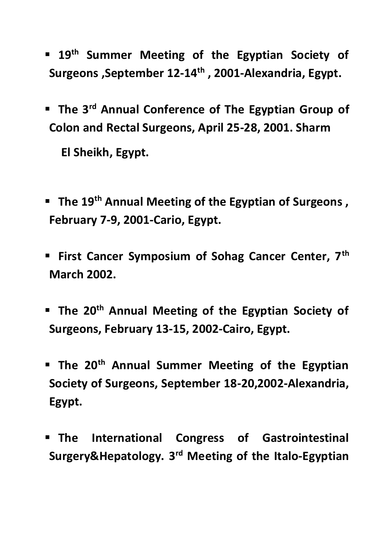- **19 th Summer Meeting of the Egyptian Society of Surgeons ,September 12-14th , 2001-Alexandria, Egypt.**
- **The 3rd Annual Conference of The Egyptian Group of Colon and Rectal Surgeons, April 25-28, 2001. Sharm**

**El Sheikh, Egypt.**

- **The 19th Annual Meeting of the Egyptian of Surgeons , February 7-9, 2001-Cario, Egypt.**
- **First Cancer Symposium of Sohag Cancer Center, 7th March 2002.**
- **The 20th Annual Meeting of the Egyptian Society of Surgeons, February 13-15, 2002-Cairo, Egypt.**
- **The 20th Annual Summer Meeting of the Egyptian Society of Surgeons, September 18-20,2002-Alexandria, Egypt.**
- **The International Congress of Gastrointestinal**  Surgery&Hepatology. 3<sup>rd</sup> Meeting of the Italo-Egyptian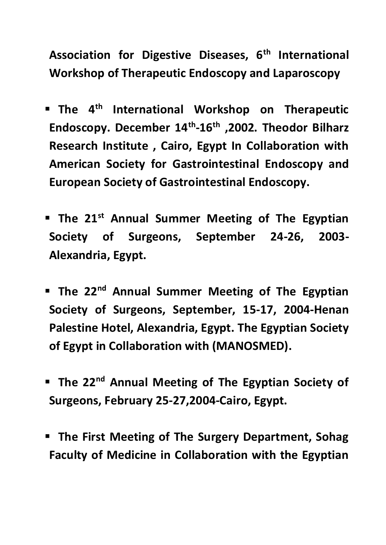**Association for Digestive Diseases, 6th International Workshop of Therapeutic Endoscopy and Laparoscopy**

- **The 4th International Workshop on Therapeutic Endoscopy. December 14th -16th ,2002. Theodor Bilharz Research Institute , Cairo, Egypt In Collaboration with American Society for Gastrointestinal Endoscopy and European Society of Gastrointestinal Endoscopy.**
- **The 21st Annual Summer Meeting of The Egyptian Society of Surgeons, September 24-26, 2003- Alexandria, Egypt.**
- **The 22nd Annual Summer Meeting of The Egyptian Society of Surgeons, September, 15-17, 2004-Henan Palestine Hotel, Alexandria, Egypt. The Egyptian Society of Egypt in Collaboration with (MANOSMED).**
- **The 22nd Annual Meeting of The Egyptian Society of Surgeons, February 25-27,2004-Cairo, Egypt.**
- **The First Meeting of The Surgery Department, Sohag Faculty of Medicine in Collaboration with the Egyptian**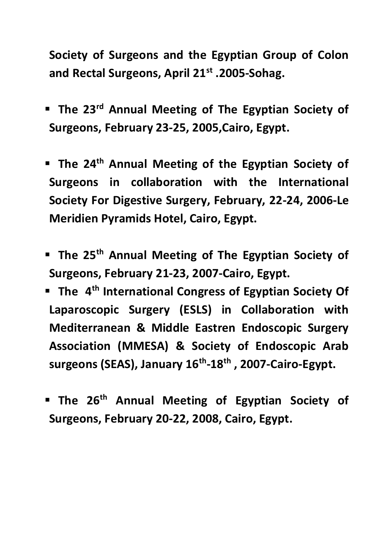**Society of Surgeons and the Egyptian Group of Colon and Rectal Surgeons, April 21st .2005-Sohag.**

- **The 23rd Annual Meeting of The Egyptian Society of Surgeons, February 23-25, 2005,Cairo, Egypt.**
- **The 24th Annual Meeting of the Egyptian Society of Surgeons in collaboration with the International Society For Digestive Surgery, February, 22-24, 2006-Le Meridien Pyramids Hotel, Cairo, Egypt.**
- **The 25th Annual Meeting of The Egyptian Society of Surgeons, February 21-23, 2007-Cairo, Egypt.**
- **The 4th International Congress of Egyptian Society Of Laparoscopic Surgery (ESLS) in Collaboration with Mediterranean & Middle Eastren Endoscopic Surgery Association (MMESA) & Society of Endoscopic Arab surgeons (SEAS), January 16th -18th , 2007-Cairo-Egypt.**
- **The 26th Annual Meeting of Egyptian Society of Surgeons, February 20-22, 2008, Cairo, Egypt.**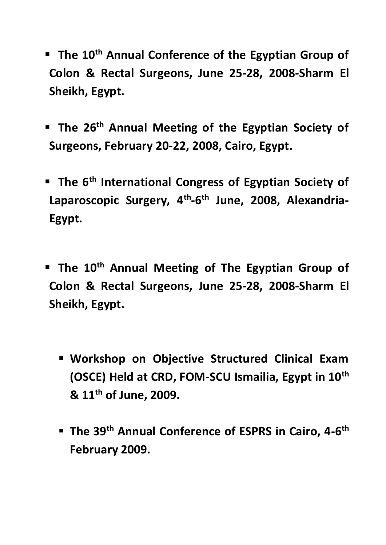- **The 10th Annual Conference of the Egyptian Group of Colon & Rectal Surgeons, June 25-28, 2008-Sharm El Sheikh, Egypt.**
- **The 26th Annual Meeting of the Egyptian Society of Surgeons, February 20-22, 2008, Cairo, Egypt.**
- **The 6th International Congress of Egyptian Society of**  Laparoscopic Surgery, 4<sup>th</sup>-6<sup>th</sup> June, 2008, Alexandria-**Egypt.**
- **The 10th Annual Meeting of The Egyptian Group of Colon & Rectal Surgeons, June 25-28, 2008-Sharm El Sheikh, Egypt.**
	- **Workshop on Objective Structured Clinical Exam (OSCE) Held at CRD, FOM-SCU Ismailia, Egypt in 10th & 11th of June, 2009.**
	- **The 39th Annual Conference of ESPRS in Cairo, 4-6 th February 2009.**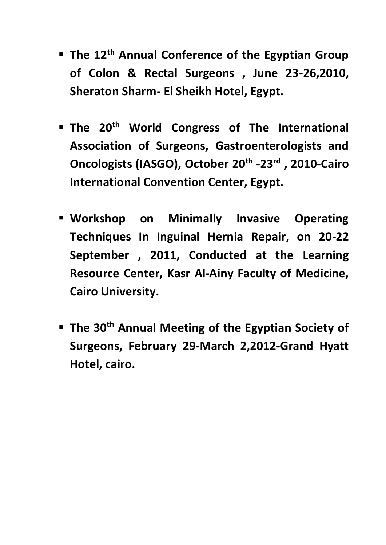- **The 12th Annual Conference of the Egyptian Group of Colon & Rectal Surgeons , June 23-26,2010, Sheraton Sharm- El Sheikh Hotel, Egypt.**
- **The 20th World Congress of The International Association of Surgeons, Gastroenterologists and Oncologists (IASGO), October 20th -23rd , 2010-Cairo International Convention Center, Egypt.**
- **Workshop on Minimally Invasive Operating Techniques In Inguinal Hernia Repair, on 20-22 September , 2011, Conducted at the Learning Resource Center, Kasr Al-Ainy Faculty of Medicine, Cairo University.**
- **The 30th Annual Meeting of the Egyptian Society of Surgeons, February 29-March 2,2012-Grand Hyatt Hotel, cairo.**